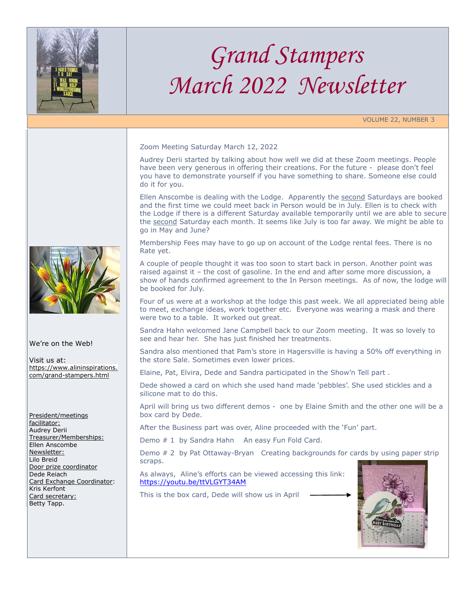

## *Grand Stampers March 2022 Newsletter*

VOLUME 22, NUMBER 3

Zoom Meeting Saturday March 12, 2022

Audrey Derii started by talking about how well we did at these Zoom meetings. People have been very generous in offering their creations. For the future - please don't feel you have to demonstrate yourself if you have something to share. Someone else could do it for you.

Ellen Anscombe is dealing with the Lodge. Apparently the second Saturdays are booked and the first time we could meet back in Person would be in July. Ellen is to check with the Lodge if there is a different Saturday available temporarily until we are able to secure the second Saturday each month. It seems like July is too far away. We might be able to go in May and June?

Membership Fees may have to go up on account of the Lodge rental fees. There is no Rate yet.

A couple of people thought it was too soon to start back in person. Another point was raised against it – the cost of gasoline. In the end and after some more discussion, a show of hands confirmed agreement to the In Person meetings. As of now, the lodge will be booked for July.

Four of us were at a workshop at the lodge this past week. We all appreciated being able to meet, exchange ideas, work together etc. Everyone was wearing a mask and there were two to a table. It worked out great.

Sandra Hahn welcomed Jane Campbell back to our Zoom meeting. It was so lovely to see and hear her. She has just finished her treatments.

Sandra also mentioned that Pam's store in Hagersville is having a 50% off everything in the store Sale. Sometimes even lower prices.

Elaine, Pat, Elvira, Dede and Sandra participated in the Show'n Tell part .

Dede showed a card on which she used hand made 'pebbles'. She used stickles and a silicone mat to do this.

April will bring us two different demos - one by Elaine Smith and the other one will be a box card by Dede.

After the Business part was over, Aline proceeded with the 'Fun' part.

Demo # 1 by Sandra Hahn An easy Fun Fold Card.

Demo # 2 by Pat Ottaway-Bryan Creating backgrounds for cards by using paper strip scraps.

As always, Aline's efforts can be viewed accessing this link: <https://youtu.be/ttVLGYT34AM>

This is the box card, Dede will show us in April





We're on the Web!

Visit us at: [https://www.alininspirations.](https://www.alininspirations.com/grand-stampers.html) [com/grand-stampers.html](https://www.alininspirations.com/grand-stampers.html)

President/meetings facilitator: Audrey Derii Treasurer/Memberships: Ellen Anscombe Newsletter: Lilo Breid Door prize coordinator Dede Reiach Card Exchange Coordinator: Kris Kerfont Card secretary: Betty Tapp.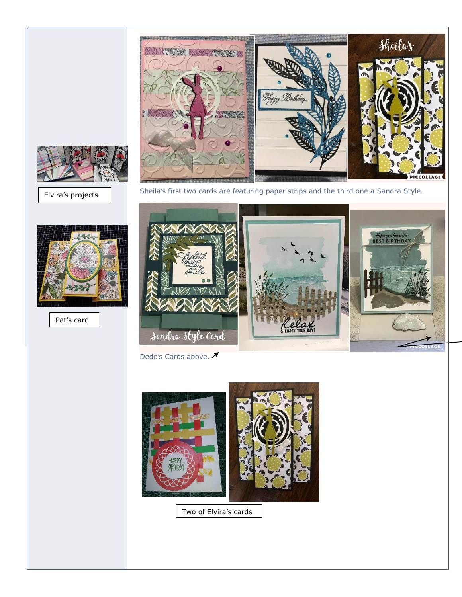

Elvira's projects



Pat's card



Sheila's first two cards are featuring paper strips and the third one a Sandra Style.



Dede's Cards above. <del>▼</del>



Two of Elvira's cards